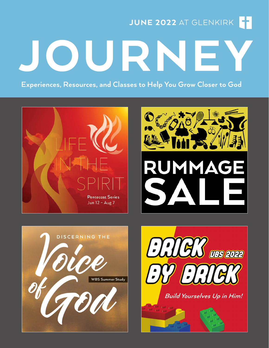JUNE 2022 AT GLENKIRK

JOURNE

Experiences, Resources, and Classes to Help You Grow Closer to God







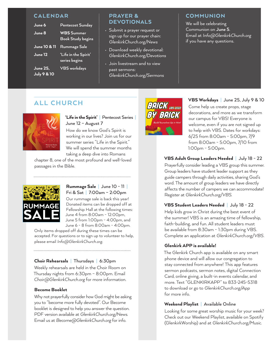#### **CALENDAR**

| June 6                             | <b>Pentecost Sunday</b>                       |
|------------------------------------|-----------------------------------------------|
| June 8                             | <b>WBS Summer</b><br><b>Book Study begins</b> |
| <b>June 10 &amp; 11</b>            | Rummage Sale                                  |
| June 12                            | 'Life in the Spirit'<br>series begins         |
| June 25,<br><b>July 9 &amp; 10</b> | <b>VBS</b> workdays                           |

#### PRAYER & DEVOTIONALS

- Submit a prayer request or sign up for our prayer chain: *GlenkirkChurch.org/News*
- Download weekly devotional: *GlenkirkChurch.org/Devotions*
- Join livestream and to view past sermons: *GlenkirkChurch.org/Sermons*

#### **COMMUNION**

We will be celebrating Communion on **June 5**. Email at *Info@GlenkirkChurch.org* if you have any questions.

# ALL CHURCH



#### 'Life in the Spirit' **|** Pentecost Series **|**  June 12 – August 7

How do we know God's Spirit is working in our lives? Join us for our summer series "Life in the Spirit." We will spend the summer months taking a deep dive into Romans

chapter 8, one of the most profound and well-loved passages in the Bible.



#### Rummage Sale **|** June 10 - 11 **|**  Fri & Sat **|** 7:00am – 2:00pm

Our rummage sale is back this year! Donated items can be dropped off at Fellowship Hall at the following times: June 4 from 8:00am - 12:00pm, June 5 from 1:00pm - 4:00pm, and June 6 - 8 from 8:00am - 4:00pm.

Only items dropped off during these times can be accepted. For questions or to sign up to volunteer to help, please email *Info@GlenkirkChurch.org*.

#### Choir Rehearsals **|** Thursdays **|** 6:30pm

Weekly rehearsals are held in the Choir Room on Thursday nights from 6:30pm – 8:00pm. Email *Choir@GlenkirkChurch.org* for more information.

#### Become Booklet

Why not prayerfully consider how God might be asking you to "become more fully devoted". Our Become booklet is designed to help you answer the question. PDF version available at *GlenkirkChurch.org/News*. Email us at *Become@GlenkirkChurch.org* for info.



#### VBS Workdays **|** June 25, July 9 & 10

Come help us create props, stage decorations, and more as we transform our campus for VBS! Everyone is welcome, even if you are not signed up to help with VBS. Dates for workdays: 6/25 from 8:00am - 5:00pm, 7/9 from 8:00am - 5:00pm, 7/10 from 1:00pm - 5:00pm.

#### VBS Adult Group Leaders Needed **|** July 18 - 22

Prayerfully consider leading a VBS group this summer. Group leaders have student leader support as they guide campers through daily activities, sharing God's word. The amount of group leaders we have directly affects the number of campers we can accommodate! Register at *GlenkirkChurch.org/VBS*.

#### VBS Student Leaders Needed **|** July 18 - 22

Help kids grow in Christ during the best event of the summer! VBS is an amazing time of fellowship, faith-building, and fun. All student leaders must be available from 8:30am - 1:30pm during VBS. Complete an application at *GlenkirkChurch.org/VBS.*

#### Glenkirk APP is available!

The Glenkirk Church app is available on any smart phone device and will allow our congregation to stay connected from anywhere! This app features sermon podcasts, sermon notes, digital Connection Card, online giving, a built-in events calendar, and more. Text "GLENKIRKAPP" to 833-245-5318 to download or go to *GlenkirkChurch.org/App* for more info.

#### Weekend Playlist **|** Available Online

Looking for some great worship music for your week? Check out our Weekend Playlist, available on Spotify (GlenkirkWorship) and at *GlenkirkChurch.org/Music*.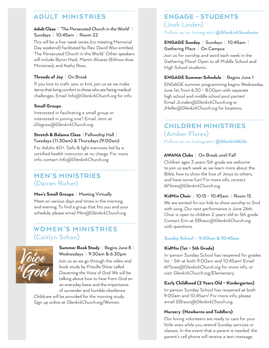## ADULT MINISTRIES

#### Adult Class **|** 'The Persecuted Church in the World' **|**  Sundays **|** 10:45am **|** Room 22

This will be a five-week series (no meeting Memorial Day weekend) facilitated by Rev. David Woo entitled, 'The Persecuted Church in the World.' Other speakers will include Byron Hack, Martin Alvarez (Ethnos Asia Ministries), and Kathy Ross.

#### Threads of Joy **|** On Break

If you love to craft, sew, or knit, join us as we make items that bring comfort to those who are facing medical challenges. Email *Info@GlenkirkChurch.org* for info.

#### Small Groups

Interested in facilitating a small group or interested in joining one? Email Jenn at *JDegraw@GlenkirkChurch.org*.

#### Stretch & Balance Class **|** Fellowship Hall **|**  Tuesdays (11:30am) & Thursdays (9:00am)

For Adults 60+. Safe & light exercises led by a certified health instructor at no charge. For more info, contact *Info@GlenkirkChurch.org*.

### MEN'S MINISTRIES (Darren Richer)

#### Men's Small Groups **|** Meeting Virtually

Meet on various days and times in the morning and evening. To find a group that fits you and your schedule, please email *Men@GlenkirkChurch.org.*

# WOMEN'S MINISTRIES (Caitlyn Schan)



#### Summer Book Study **|** Begins June 8 **|**  Wednesdays **|** 9:30am & 6:30pm

Join us as we go through the video and book study by Priscilla Shirer called *Discerning the Voice of God*. We will be talking about how to hear from God on an everyday basis and the importance of surrender and humble obedience.

Childcare will be provided for the morning study. Sign up online at *GlenkirkChurch.org/Women.*

### ENGAGE - STUDENTS (Josh Linden) Follow us on Instagram! @GlenkirkStudents

#### ENGAGE Sunday **|** Sundays **|** 10:45am **|**  Gathering Place **|** On Campus

Join us for worship and word each week in the Gathering Place! Open to all Middle School and High School students.

#### ENGAGE Summer Schedule **|** Begins June 1

ENGAGE summer programming begins Wednesday, June 1st, from 6:30 - 8:00pm with separate high school and middle school pool parties! Email *JLinden@GlenkirkChurch.org* or *JHeller@GlenkirkChurch.org* for locations.

# CHILDREN MINISTRIES (Amber Flores)

Follow us on Instagram! @GlenkirkKids

#### AWANA Clubs **|** On Break until Fall

Children ages 3 years-5th grade are welcome to join us each week as we learn more about the Bible, how to show the love of Jesus to others, and have some fun! For more info, contact *AFlores@GlenkirkChurch.org*.

#### KidMin Choir **|** 10:15 - 10:45am **|** Room 15

We are excited for our kids to show worship to God with song. Our next performance is June 26th. Choir is open to children 2 years-old to 5th grade. Contact Erin at *EBraun@GlenkirkChurch.org* with questions.

#### Sunday School – 9:00am & 10:45am

#### KidMin (1st – 5th Grade)

In-person Sunday School has reopened for grades 1st - 5th at both 9:00am and 10:45am! Email *AFlores@GlenkirkChurch.org* for more info, or visit *GlenkirkChurch.org/Elementary*.

#### Early Childhood (2 Years Old – Kindergarten)

In-person Sunday School has reopened at both 9:00am and 10:45am! For more info, please email *EBraun@GlenkirkChurch.org*.

#### Nursery (Newborns and Toddlers)

Our loving volunteers are ready to care for your little ones while you attend Sunday services or classes. In the event that a parent is needed, the parent's cell phone will receive a text message.